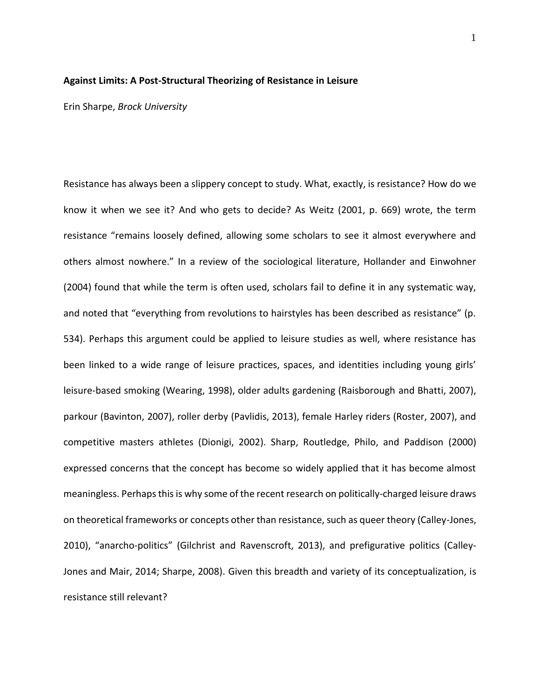#### **Against Limits: A Post-Structural Theorizing of Resistance in Leisure**

Erin Sharpe, *Brock University*

Resistance has always been a slippery concept to study. What, exactly, is resistance? How do we know it when we see it? And who gets to decide? As Weitz (2001, p. 669) wrote, the term resistance "remains loosely defined, allowing some scholars to see it almost everywhere and others almost nowhere." In a review of the sociological literature, Hollander and Einwohner (2004) found that while the term is often used, scholars fail to define it in any systematic way, and noted that "everything from revolutions to hairstyles has been described as resistance" (p. 534). Perhaps this argument could be applied to leisure studies as well, where resistance has been linked to a wide range of leisure practices, spaces, and identities including young girls' leisure-based smoking (Wearing, 1998), older adults gardening (Raisborough and Bhatti, 2007), parkour (Bavinton, 2007), roller derby (Pavlidis, 2013), female Harley riders (Roster, 2007), and competitive masters athletes (Dionigi, 2002). Sharp, Routledge, Philo, and Paddison (2000) expressed concerns that the concept has become so widely applied that it has become almost meaningless. Perhaps this is why some of the recent research on politically-charged leisure draws on theoretical frameworks or concepts other than resistance, such as queer theory (Calley-Jones, 2010), "anarcho-politics" (Gilchrist and Ravenscroft, 2013), and prefigurative politics (Calley-Jones and Mair, 2014; Sharpe, 2008). Given this breadth and variety of its conceptualization, is resistance still relevant?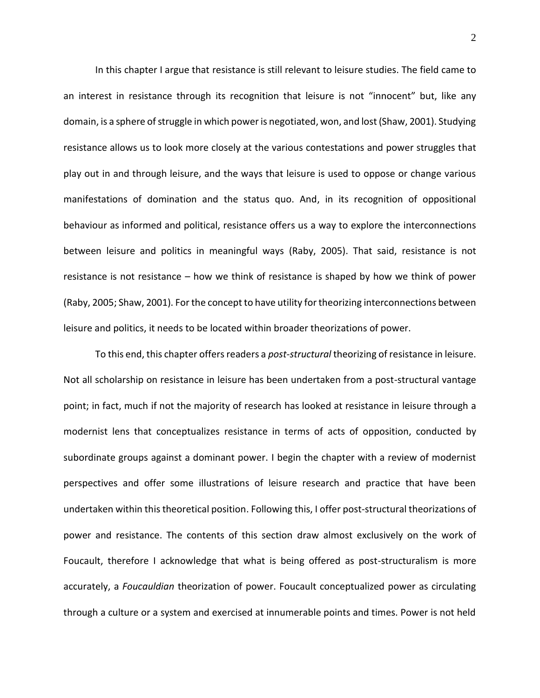In this chapter I argue that resistance is still relevant to leisure studies. The field came to an interest in resistance through its recognition that leisure is not "innocent" but, like any domain, is a sphere of struggle in which power is negotiated, won, and lost (Shaw, 2001). Studying resistance allows us to look more closely at the various contestations and power struggles that play out in and through leisure, and the ways that leisure is used to oppose or change various manifestations of domination and the status quo. And, in its recognition of oppositional behaviour as informed and political, resistance offers us a way to explore the interconnections between leisure and politics in meaningful ways (Raby, 2005). That said, resistance is not resistance is not resistance – how we think of resistance is shaped by how we think of power (Raby, 2005; Shaw, 2001). For the concept to have utility for theorizing interconnections between leisure and politics, it needs to be located within broader theorizations of power.

To this end, this chapter offers readers a *post-structural* theorizing of resistance in leisure. Not all scholarship on resistance in leisure has been undertaken from a post-structural vantage point; in fact, much if not the majority of research has looked at resistance in leisure through a modernist lens that conceptualizes resistance in terms of acts of opposition, conducted by subordinate groups against a dominant power. I begin the chapter with a review of modernist perspectives and offer some illustrations of leisure research and practice that have been undertaken within this theoretical position. Following this, I offer post-structural theorizations of power and resistance. The contents of this section draw almost exclusively on the work of Foucault, therefore I acknowledge that what is being offered as post-structuralism is more accurately, a *Foucauldian* theorization of power. Foucault conceptualized power as circulating through a culture or a system and exercised at innumerable points and times. Power is not held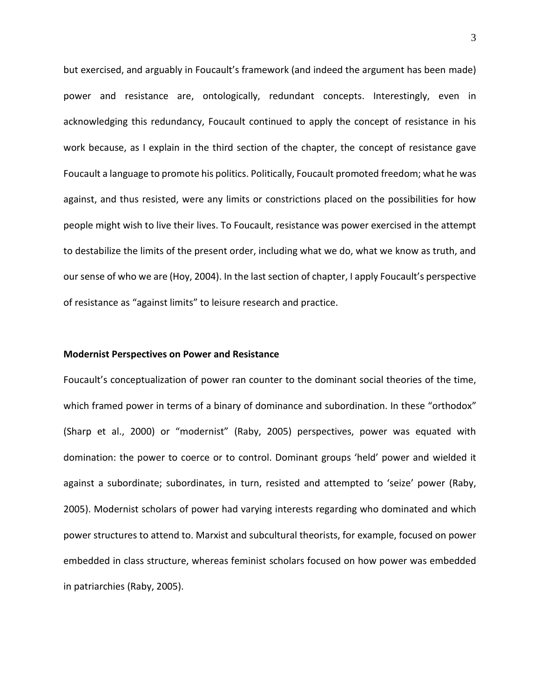but exercised, and arguably in Foucault's framework (and indeed the argument has been made) power and resistance are, ontologically, redundant concepts. Interestingly, even in acknowledging this redundancy, Foucault continued to apply the concept of resistance in his work because, as I explain in the third section of the chapter, the concept of resistance gave Foucault a language to promote his politics. Politically, Foucault promoted freedom; what he was against, and thus resisted, were any limits or constrictions placed on the possibilities for how people might wish to live their lives. To Foucault, resistance was power exercised in the attempt to destabilize the limits of the present order, including what we do, what we know as truth, and our sense of who we are (Hoy, 2004). In the last section of chapter, I apply Foucault's perspective of resistance as "against limits" to leisure research and practice.

### **Modernist Perspectives on Power and Resistance**

Foucault's conceptualization of power ran counter to the dominant social theories of the time, which framed power in terms of a binary of dominance and subordination. In these "orthodox" (Sharp et al., 2000) or "modernist" (Raby, 2005) perspectives, power was equated with domination: the power to coerce or to control. Dominant groups 'held' power and wielded it against a subordinate; subordinates, in turn, resisted and attempted to 'seize' power (Raby, 2005). Modernist scholars of power had varying interests regarding who dominated and which power structures to attend to. Marxist and subcultural theorists, for example, focused on power embedded in class structure, whereas feminist scholars focused on how power was embedded in patriarchies (Raby, 2005).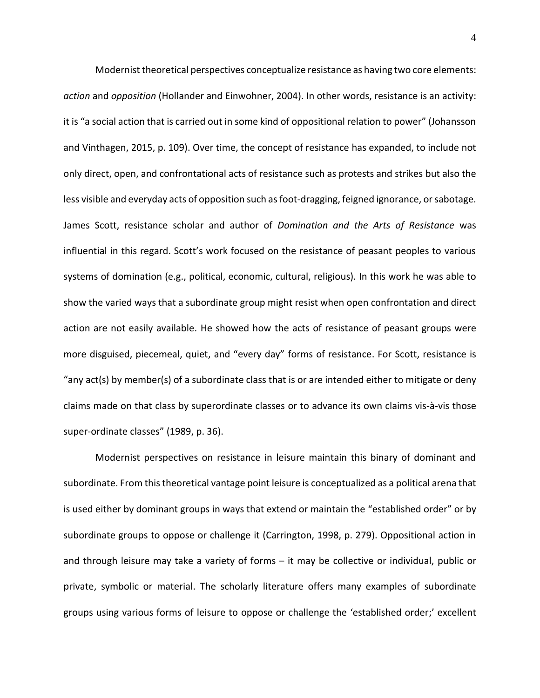Modernist theoretical perspectives conceptualize resistance as having two core elements: *action* and *opposition* (Hollander and Einwohner, 2004). In other words, resistance is an activity: it is "a social action that is carried out in some kind of oppositional relation to power" (Johansson and Vinthagen, 2015, p. 109). Over time, the concept of resistance has expanded, to include not only direct, open, and confrontational acts of resistance such as protests and strikes but also the less visible and everyday acts of opposition such as foot-dragging, feigned ignorance, or sabotage. James Scott, resistance scholar and author of *Domination and the Arts of Resistance* was influential in this regard. Scott's work focused on the resistance of peasant peoples to various systems of domination (e.g., political, economic, cultural, religious). In this work he was able to show the varied ways that a subordinate group might resist when open confrontation and direct action are not easily available. He showed how the acts of resistance of peasant groups were more disguised, piecemeal, quiet, and "every day" forms of resistance. For Scott, resistance is "any act(s) by member(s) of a subordinate class that is or are intended either to mitigate or deny claims made on that class by superordinate classes or to advance its own claims vis-à-vis those super-ordinate classes" (1989, p. 36).

Modernist perspectives on resistance in leisure maintain this binary of dominant and subordinate. From this theoretical vantage point leisure is conceptualized as a political arena that is used either by dominant groups in ways that extend or maintain the "established order" or by subordinate groups to oppose or challenge it (Carrington, 1998, p. 279). Oppositional action in and through leisure may take a variety of forms – it may be collective or individual, public or private, symbolic or material. The scholarly literature offers many examples of subordinate groups using various forms of leisure to oppose or challenge the 'established order;' excellent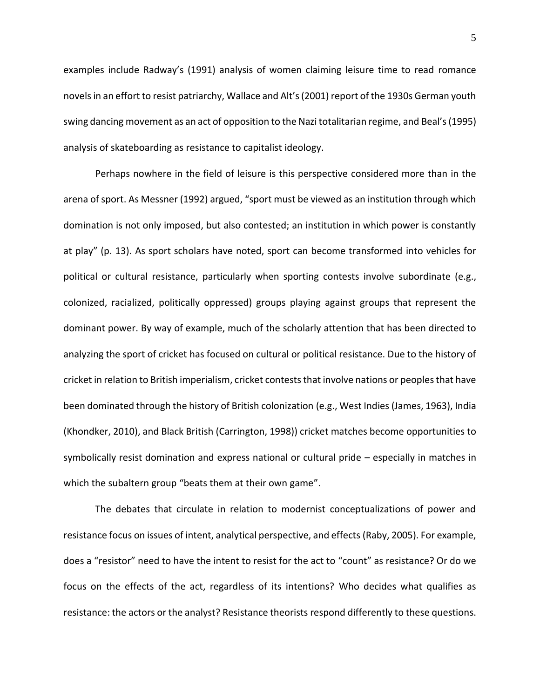examples include Radway's (1991) analysis of women claiming leisure time to read romance novelsin an effort to resist patriarchy, Wallace and Alt's (2001) report of the 1930s German youth swing dancing movement as an act of opposition to the Nazi totalitarian regime, and Beal's (1995) analysis of skateboarding as resistance to capitalist ideology.

Perhaps nowhere in the field of leisure is this perspective considered more than in the arena of sport. As Messner (1992) argued, "sport must be viewed as an institution through which domination is not only imposed, but also contested; an institution in which power is constantly at play" (p. 13). As sport scholars have noted, sport can become transformed into vehicles for political or cultural resistance, particularly when sporting contests involve subordinate (e.g., colonized, racialized, politically oppressed) groups playing against groups that represent the dominant power. By way of example, much of the scholarly attention that has been directed to analyzing the sport of cricket has focused on cultural or political resistance. Due to the history of cricket in relation to British imperialism, cricket contests that involve nations or peoples that have been dominated through the history of British colonization (e.g., West Indies (James, 1963), India (Khondker, 2010), and Black British (Carrington, 1998)) cricket matches become opportunities to symbolically resist domination and express national or cultural pride – especially in matches in which the subaltern group "beats them at their own game".

The debates that circulate in relation to modernist conceptualizations of power and resistance focus on issues of intent, analytical perspective, and effects (Raby, 2005). For example, does a "resistor" need to have the intent to resist for the act to "count" as resistance? Or do we focus on the effects of the act, regardless of its intentions? Who decides what qualifies as resistance: the actors or the analyst? Resistance theorists respond differently to these questions.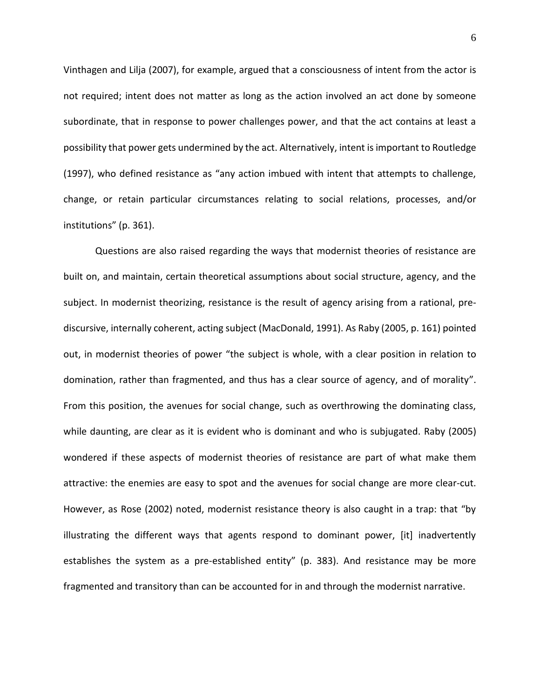Vinthagen and Lilja (2007), for example, argued that a consciousness of intent from the actor is not required; intent does not matter as long as the action involved an act done by someone subordinate, that in response to power challenges power, and that the act contains at least a possibility that power gets undermined by the act. Alternatively, intent is important to Routledge (1997), who defined resistance as "any action imbued with intent that attempts to challenge, change, or retain particular circumstances relating to social relations, processes, and/or institutions" (p. 361).

Questions are also raised regarding the ways that modernist theories of resistance are built on, and maintain, certain theoretical assumptions about social structure, agency, and the subject. In modernist theorizing, resistance is the result of agency arising from a rational, prediscursive, internally coherent, acting subject (MacDonald, 1991). As Raby (2005, p. 161) pointed out, in modernist theories of power "the subject is whole, with a clear position in relation to domination, rather than fragmented, and thus has a clear source of agency, and of morality". From this position, the avenues for social change, such as overthrowing the dominating class, while daunting, are clear as it is evident who is dominant and who is subjugated. Raby (2005) wondered if these aspects of modernist theories of resistance are part of what make them attractive: the enemies are easy to spot and the avenues for social change are more clear-cut. However, as Rose (2002) noted, modernist resistance theory is also caught in a trap: that "by illustrating the different ways that agents respond to dominant power, [it] inadvertently establishes the system as a pre-established entity" (p. 383). And resistance may be more fragmented and transitory than can be accounted for in and through the modernist narrative.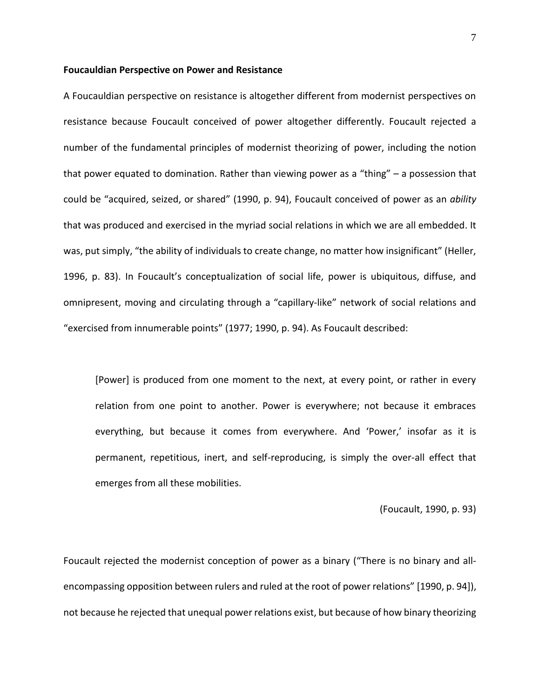### **Foucauldian Perspective on Power and Resistance**

A Foucauldian perspective on resistance is altogether different from modernist perspectives on resistance because Foucault conceived of power altogether differently. Foucault rejected a number of the fundamental principles of modernist theorizing of power, including the notion that power equated to domination. Rather than viewing power as a "thing" – a possession that could be "acquired, seized, or shared" (1990, p. 94), Foucault conceived of power as an *ability* that was produced and exercised in the myriad social relations in which we are all embedded. It was, put simply, "the ability of individuals to create change, no matter how insignificant" (Heller, 1996, p. 83). In Foucault's conceptualization of social life, power is ubiquitous, diffuse, and omnipresent, moving and circulating through a "capillary-like" network of social relations and "exercised from innumerable points" (1977; 1990, p. 94). As Foucault described:

[Power] is produced from one moment to the next, at every point, or rather in every relation from one point to another. Power is everywhere; not because it embraces everything, but because it comes from everywhere. And 'Power,' insofar as it is permanent, repetitious, inert, and self-reproducing, is simply the over-all effect that emerges from all these mobilities.

(Foucault, 1990, p. 93)

Foucault rejected the modernist conception of power as a binary ("There is no binary and allencompassing opposition between rulers and ruled at the root of power relations" [1990, p. 94]), not because he rejected that unequal power relations exist, but because of how binary theorizing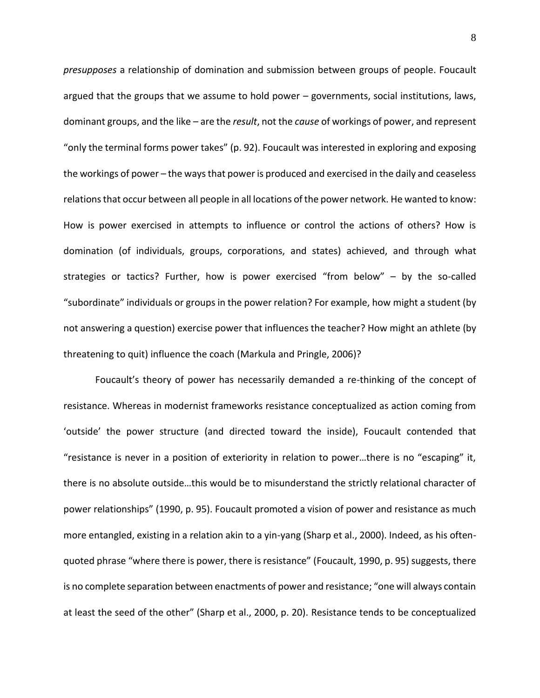*presupposes* a relationship of domination and submission between groups of people. Foucault argued that the groups that we assume to hold power – governments, social institutions, laws, dominant groups, and the like – are the *result*, not the *cause* of workings of power, and represent "only the terminal forms power takes" (p. 92). Foucault was interested in exploring and exposing the workings of power – the ways that power is produced and exercised in the daily and ceaseless relations that occur between all people in all locations of the power network. He wanted to know: How is power exercised in attempts to influence or control the actions of others? How is domination (of individuals, groups, corporations, and states) achieved, and through what strategies or tactics? Further, how is power exercised "from below" – by the so-called "subordinate" individuals or groups in the power relation? For example, how might a student (by not answering a question) exercise power that influences the teacher? How might an athlete (by threatening to quit) influence the coach (Markula and Pringle, 2006)?

Foucault's theory of power has necessarily demanded a re-thinking of the concept of resistance. Whereas in modernist frameworks resistance conceptualized as action coming from 'outside' the power structure (and directed toward the inside), Foucault contended that "resistance is never in a position of exteriority in relation to power…there is no "escaping" it, there is no absolute outside…this would be to misunderstand the strictly relational character of power relationships" (1990, p. 95). Foucault promoted a vision of power and resistance as much more entangled, existing in a relation akin to a yin-yang (Sharp et al., 2000). Indeed, as his oftenquoted phrase "where there is power, there is resistance" (Foucault, 1990, p. 95) suggests, there is no complete separation between enactments of power and resistance; "one will always contain at least the seed of the other" (Sharp et al., 2000, p. 20). Resistance tends to be conceptualized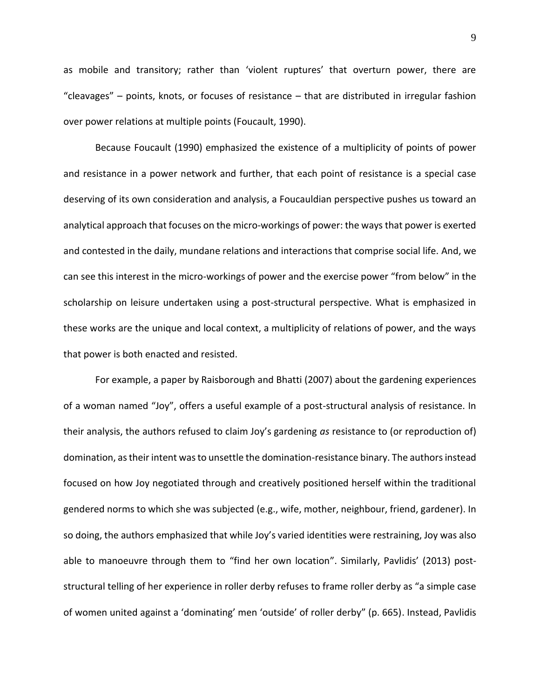as mobile and transitory; rather than 'violent ruptures' that overturn power, there are "cleavages" – points, knots, or focuses of resistance – that are distributed in irregular fashion over power relations at multiple points (Foucault, 1990).

Because Foucault (1990) emphasized the existence of a multiplicity of points of power and resistance in a power network and further, that each point of resistance is a special case deserving of its own consideration and analysis, a Foucauldian perspective pushes us toward an analytical approach that focuses on the micro-workings of power: the ways that power is exerted and contested in the daily, mundane relations and interactions that comprise social life. And, we can see this interest in the micro-workings of power and the exercise power "from below" in the scholarship on leisure undertaken using a post-structural perspective. What is emphasized in these works are the unique and local context, a multiplicity of relations of power, and the ways that power is both enacted and resisted.

For example, a paper by Raisborough and Bhatti (2007) about the gardening experiences of a woman named "Joy", offers a useful example of a post-structural analysis of resistance. In their analysis, the authors refused to claim Joy's gardening *as* resistance to (or reproduction of) domination, as their intent was to unsettle the domination-resistance binary. The authors instead focused on how Joy negotiated through and creatively positioned herself within the traditional gendered norms to which she was subjected (e.g., wife, mother, neighbour, friend, gardener). In so doing, the authors emphasized that while Joy's varied identities were restraining, Joy was also able to manoeuvre through them to "find her own location". Similarly, Pavlidis' (2013) poststructural telling of her experience in roller derby refuses to frame roller derby as "a simple case of women united against a 'dominating' men 'outside' of roller derby" (p. 665). Instead, Pavlidis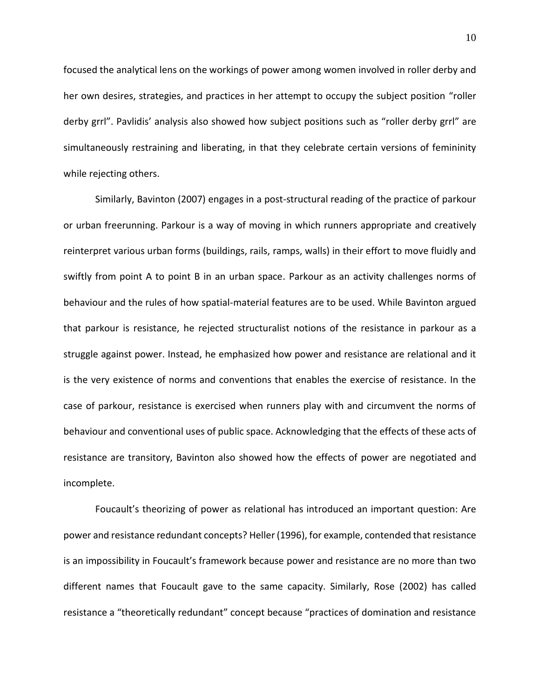focused the analytical lens on the workings of power among women involved in roller derby and her own desires, strategies, and practices in her attempt to occupy the subject position "roller derby grrl". Pavlidis' analysis also showed how subject positions such as "roller derby grrl" are simultaneously restraining and liberating, in that they celebrate certain versions of femininity while rejecting others.

Similarly, Bavinton (2007) engages in a post-structural reading of the practice of parkour or urban freerunning. Parkour is a way of moving in which runners appropriate and creatively reinterpret various urban forms (buildings, rails, ramps, walls) in their effort to move fluidly and swiftly from point A to point B in an urban space. Parkour as an activity challenges norms of behaviour and the rules of how spatial-material features are to be used. While Bavinton argued that parkour is resistance, he rejected structuralist notions of the resistance in parkour as a struggle against power. Instead, he emphasized how power and resistance are relational and it is the very existence of norms and conventions that enables the exercise of resistance. In the case of parkour, resistance is exercised when runners play with and circumvent the norms of behaviour and conventional uses of public space. Acknowledging that the effects of these acts of resistance are transitory, Bavinton also showed how the effects of power are negotiated and incomplete.

Foucault's theorizing of power as relational has introduced an important question: Are power and resistance redundant concepts? Heller (1996), for example, contended that resistance is an impossibility in Foucault's framework because power and resistance are no more than two different names that Foucault gave to the same capacity. Similarly, Rose (2002) has called resistance a "theoretically redundant" concept because "practices of domination and resistance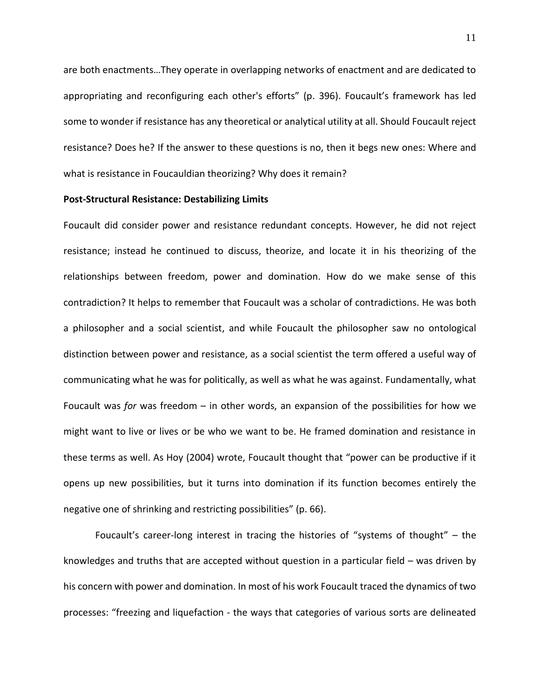are both enactments…They operate in overlapping networks of enactment and are dedicated to appropriating and reconfiguring each other's efforts" (p. 396). Foucault's framework has led some to wonder if resistance has any theoretical or analytical utility at all. Should Foucault reject resistance? Does he? If the answer to these questions is no, then it begs new ones: Where and what is resistance in Foucauldian theorizing? Why does it remain?

# **Post-Structural Resistance: Destabilizing Limits**

Foucault did consider power and resistance redundant concepts. However, he did not reject resistance; instead he continued to discuss, theorize, and locate it in his theorizing of the relationships between freedom, power and domination. How do we make sense of this contradiction? It helps to remember that Foucault was a scholar of contradictions. He was both a philosopher and a social scientist, and while Foucault the philosopher saw no ontological distinction between power and resistance, as a social scientist the term offered a useful way of communicating what he was for politically, as well as what he was against. Fundamentally, what Foucault was *for* was freedom – in other words, an expansion of the possibilities for how we might want to live or lives or be who we want to be. He framed domination and resistance in these terms as well. As Hoy (2004) wrote, Foucault thought that "power can be productive if it opens up new possibilities, but it turns into domination if its function becomes entirely the negative one of shrinking and restricting possibilities" (p. 66).

Foucault's career-long interest in tracing the histories of "systems of thought" – the knowledges and truths that are accepted without question in a particular field – was driven by his concern with power and domination. In most of his work Foucault traced the dynamics of two processes: "freezing and liquefaction - the ways that categories of various sorts are delineated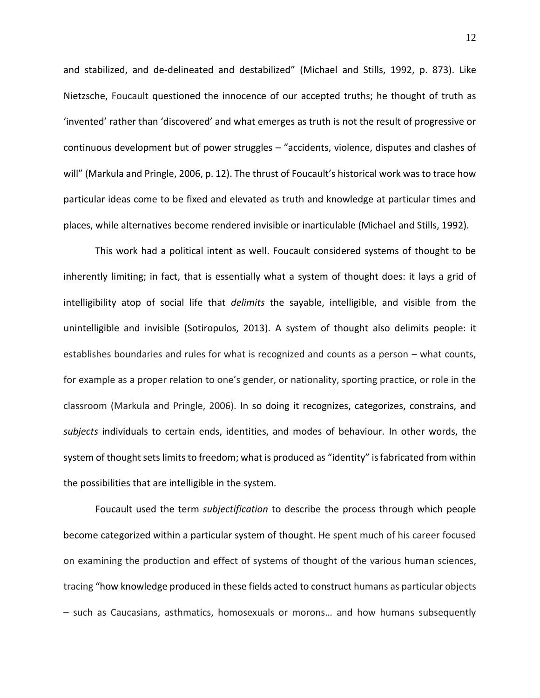and stabilized, and de-delineated and destabilized" (Michael and Stills, 1992, p. 873). Like Nietzsche, Foucault questioned the innocence of our accepted truths; he thought of truth as 'invented' rather than 'discovered' and what emerges as truth is not the result of progressive or continuous development but of power struggles – "accidents, violence, disputes and clashes of will" (Markula and Pringle, 2006, p. 12). The thrust of Foucault's historical work was to trace how particular ideas come to be fixed and elevated as truth and knowledge at particular times and places, while alternatives become rendered invisible or inarticulable (Michael and Stills, 1992).

This work had a political intent as well. Foucault considered systems of thought to be inherently limiting; in fact, that is essentially what a system of thought does: it lays a grid of intelligibility atop of social life that *delimits* the sayable, intelligible, and visible from the unintelligible and invisible (Sotiropulos, 2013). A system of thought also delimits people: it establishes boundaries and rules for what is recognized and counts as a person – what counts, for example as a proper relation to one's gender, or nationality, sporting practice, or role in the classroom (Markula and Pringle, 2006). In so doing it recognizes, categorizes, constrains, and *subjects* individuals to certain ends, identities, and modes of behaviour. In other words, the system of thought sets limits to freedom; what is produced as "identity" is fabricated from within the possibilities that are intelligible in the system.

Foucault used the term *subjectification* to describe the process through which people become categorized within a particular system of thought. He spent much of his career focused on examining the production and effect of systems of thought of the various human sciences, tracing "how knowledge produced in these fields acted to construct humans as particular objects – such as Caucasians, asthmatics, homosexuals or morons… and how humans subsequently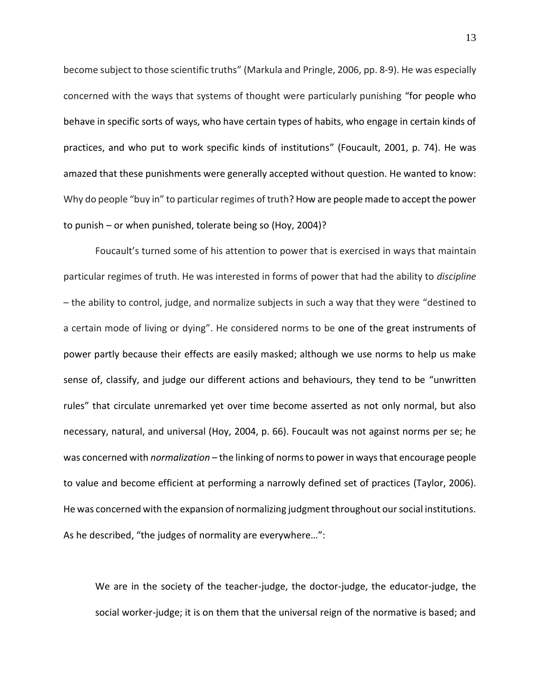become subject to those scientific truths" (Markula and Pringle, 2006, pp. 8-9). He was especially concerned with the ways that systems of thought were particularly punishing "for people who behave in specific sorts of ways, who have certain types of habits, who engage in certain kinds of practices, and who put to work specific kinds of institutions" (Foucault, 2001, p. 74). He was amazed that these punishments were generally accepted without question. He wanted to know: Why do people "buy in" to particular regimes of truth? How are people made to accept the power to punish – or when punished, tolerate being so (Hoy, 2004)?

Foucault's turned some of his attention to power that is exercised in ways that maintain particular regimes of truth. He was interested in forms of power that had the ability to *discipline*  – the ability to control, judge, and normalize subjects in such a way that they were "destined to a certain mode of living or dying". He considered norms to be one of the great instruments of power partly because their effects are easily masked; although we use norms to help us make sense of, classify, and judge our different actions and behaviours, they tend to be "unwritten rules" that circulate unremarked yet over time become asserted as not only normal, but also necessary, natural, and universal (Hoy, 2004, p. 66). Foucault was not against norms per se; he was concerned with *normalization* – the linking of norms to power in ways that encourage people to value and become efficient at performing a narrowly defined set of practices (Taylor, 2006). He was concerned with the expansion of normalizing judgment throughout our social institutions. As he described, "the judges of normality are everywhere…":

We are in the society of the teacher-judge, the doctor-judge, the educator-judge, the social worker-judge; it is on them that the universal reign of the normative is based; and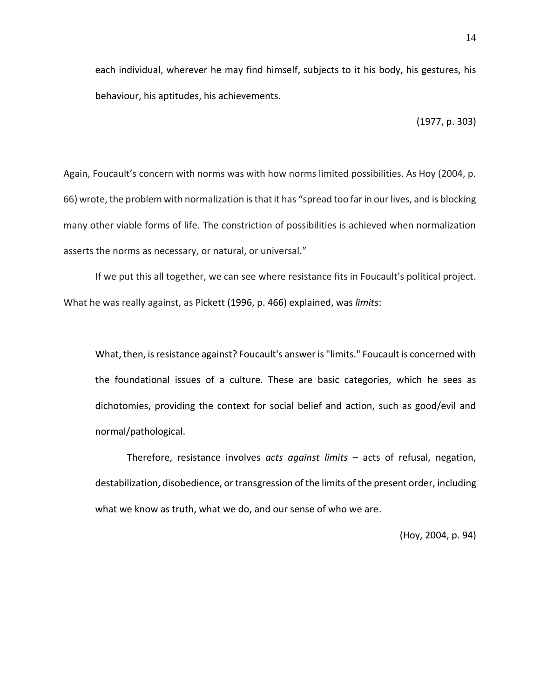each individual, wherever he may find himself, subjects to it his body, his gestures, his behaviour, his aptitudes, his achievements.

(1977, p. 303)

Again, Foucault's concern with norms was with how norms limited possibilities. As Hoy (2004, p. 66) wrote, the problem with normalization is that it has "spread too far in our lives, and is blocking many other viable forms of life. The constriction of possibilities is achieved when normalization asserts the norms as necessary, or natural, or universal."

If we put this all together, we can see where resistance fits in Foucault's political project. What he was really against, as Pickett (1996, p. 466) explained, was *limits*:

What, then, is resistance against? Foucault's answer is "limits." Foucault is concerned with the foundational issues of a culture. These are basic categories, which he sees as dichotomies, providing the context for social belief and action, such as good/evil and normal/pathological.

Therefore, resistance involves *acts against limits* – acts of refusal, negation, destabilization, disobedience, or transgression of the limits of the present order, including what we know as truth, what we do, and our sense of who we are.

(Hoy, 2004, p. 94)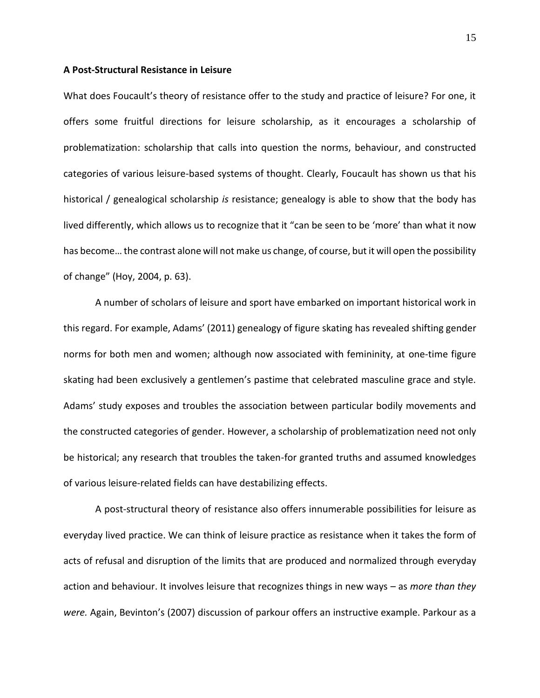### **A Post-Structural Resistance in Leisure**

What does Foucault's theory of resistance offer to the study and practice of leisure? For one, it offers some fruitful directions for leisure scholarship, as it encourages a scholarship of problematization: scholarship that calls into question the norms, behaviour, and constructed categories of various leisure-based systems of thought. Clearly, Foucault has shown us that his historical / genealogical scholarship *is* resistance; genealogy is able to show that the body has lived differently, which allows us to recognize that it "can be seen to be 'more' than what it now has become... the contrast alone will not make us change, of course, but it will open the possibility of change" (Hoy, 2004, p. 63).

A number of scholars of leisure and sport have embarked on important historical work in this regard. For example, Adams' (2011) genealogy of figure skating has revealed shifting gender norms for both men and women; although now associated with femininity, at one-time figure skating had been exclusively a gentlemen's pastime that celebrated masculine grace and style. Adams' study exposes and troubles the association between particular bodily movements and the constructed categories of gender. However, a scholarship of problematization need not only be historical; any research that troubles the taken-for granted truths and assumed knowledges of various leisure-related fields can have destabilizing effects.

A post-structural theory of resistance also offers innumerable possibilities for leisure as everyday lived practice. We can think of leisure practice as resistance when it takes the form of acts of refusal and disruption of the limits that are produced and normalized through everyday action and behaviour. It involves leisure that recognizes things in new ways – as *more than they were.* Again, Bevinton's (2007) discussion of parkour offers an instructive example. Parkour as a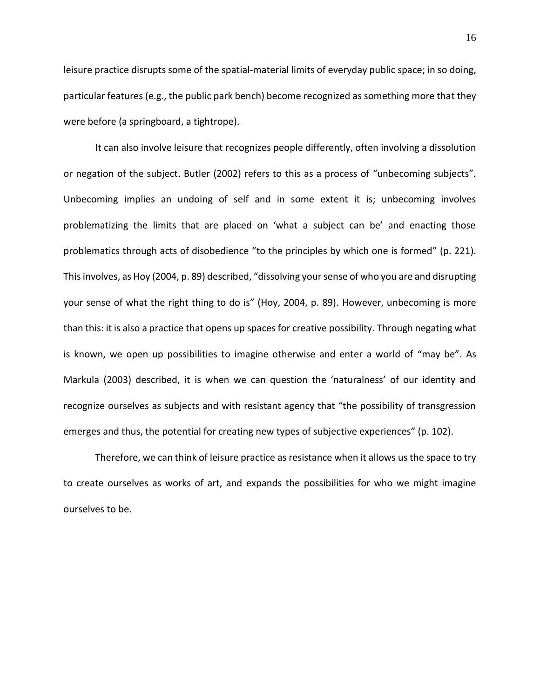leisure practice disrupts some of the spatial-material limits of everyday public space; in so doing, particular features (e.g., the public park bench) become recognized as something more that they were before (a springboard, a tightrope).

It can also involve leisure that recognizes people differently, often involving a dissolution or negation of the subject. Butler (2002) refers to this as a process of "unbecoming subjects". Unbecoming implies an undoing of self and in some extent it is; unbecoming involves problematizing the limits that are placed on 'what a subject can be' and enacting those problematics through acts of disobedience "to the principles by which one is formed" (p. 221). This involves, as Hoy (2004, p. 89) described, "dissolving your sense of who you are and disrupting your sense of what the right thing to do is" (Hoy, 2004, p. 89). However, unbecoming is more than this: it is also a practice that opens up spaces for creative possibility. Through negating what is known, we open up possibilities to imagine otherwise and enter a world of "may be". As Markula (2003) described, it is when we can question the 'naturalness' of our identity and recognize ourselves as subjects and with resistant agency that "the possibility of transgression emerges and thus, the potential for creating new types of subjective experiences" (p. 102).

Therefore, we can think of leisure practice as resistance when it allows usthe space to try to create ourselves as works of art, and expands the possibilities for who we might imagine ourselves to be.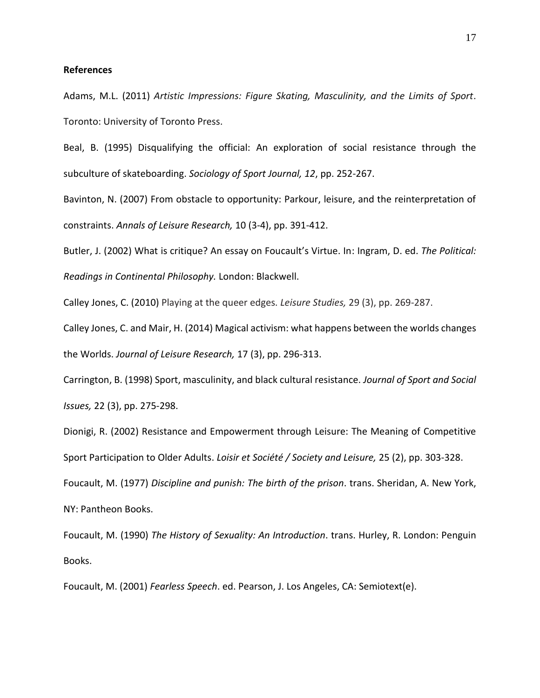## **References**

Adams, M.L. (2011) *Artistic Impressions: Figure Skating, Masculinity, and the Limits of Sport*. Toronto: University of Toronto Press.

Beal, B. (1995) Disqualifying the official: An exploration of social resistance through the subculture of skateboarding. *Sociology of Sport Journal, 12*, pp. 252-267.

Bavinton, N. (2007) From obstacle to opportunity: Parkour, leisure, and the reinterpretation of constraints. *Annals of Leisure Research,* 10 (3-4), pp. 391-412.

Butler, J. (2002) What is critique? An essay on Foucault's Virtue. In: Ingram, D. ed. *The Political: Readings in Continental Philosophy.* London: Blackwell.

Calley Jones, C. (2010) Playing at the queer edges. *Leisure Studies,* 29 (3), pp. 269-287.

Calley Jones, C. and Mair, H. (2014) Magical activism: what happens between the worlds changes the Worlds. *Journal of Leisure Research,* 17 (3), pp. 296-313.

Carrington, B. (1998) Sport, masculinity, and black cultural resistance. *Journal of Sport and Social Issues,* 22 (3), pp. 275-298.

Dionigi, R. (2002) Resistance and Empowerment through Leisure: The Meaning of Competitive Sport Participation to Older Adults. *Loisir et Société / Society and Leisure,* 25 (2), pp. 303-328.

Foucault, M. (1977) *Discipline and punish: The birth of the prison*. trans. Sheridan, A. New York, NY: Pantheon Books.

Foucault, M. (1990) *The History of Sexuality: An Introduction*. trans. Hurley, R. London: Penguin Books.

Foucault, M. (2001) *Fearless Speech*. ed. Pearson, J. Los Angeles, CA: Semiotext(e).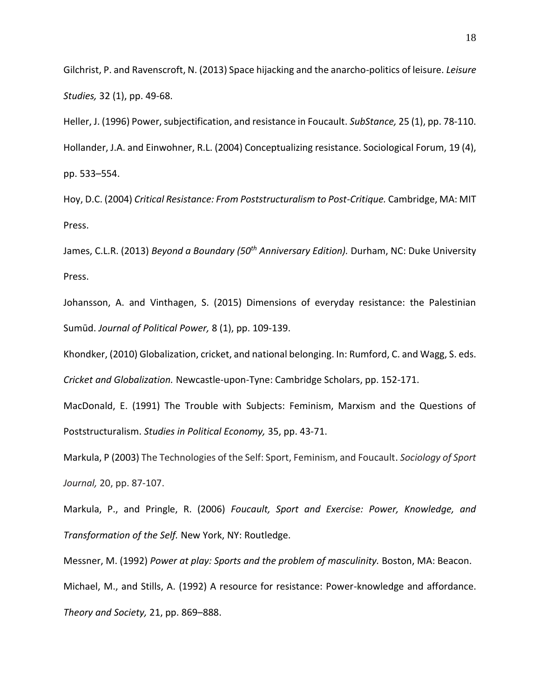Gilchrist, P. and Ravenscroft, N. (2013) Space hijacking and the anarcho-politics of leisure. *Leisure Studies,* 32 (1), pp. 49-68.

Heller, J. (1996) Power, subjectification, and resistance in Foucault. *SubStance,* 25 (1), pp. 78-110. Hollander, J.A. and Einwohner, R.L. (2004) Conceptualizing resistance. Sociological Forum, 19 (4), pp. 533–554.

Hoy, D.C. (2004) *Critical Resistance: From Poststructuralism to Post-Critique.* Cambridge, MA: MIT Press.

James, C.L.R. (2013) *Beyond a Boundary (50th Anniversary Edition).* Durham, NC: Duke University Press.

Johansson, A. and Vinthagen, S. (2015) Dimensions of everyday resistance: the Palestinian Sumūd. *Journal of Political Power,* 8 (1), pp. 109-139.

Khondker, (2010) Globalization, cricket, and national belonging. In: Rumford, C. and Wagg, S. eds.

*Cricket and Globalization.* Newcastle-upon-Tyne: Cambridge Scholars, pp. 152-171.

MacDonald, E. (1991) The Trouble with Subjects: Feminism, Marxism and the Questions of Poststructuralism. *Studies in Political Economy,* 35, pp. 43-71.

Markula, P (2003) The Technologies of the Self: Sport, Feminism, and Foucault. *Sociology of Sport Journal,* 20, pp. 87-107.

Markula, P., and Pringle, R. (2006) *Foucault, Sport and Exercise: Power, Knowledge, and Transformation of the Self.* New York, NY: Routledge.

Messner, M. (1992) *Power at play: Sports and the problem of masculinity.* Boston, MA: Beacon. Michael, M., and Stills, A. (1992) A resource for resistance: Power-knowledge and affordance. *Theory and Society,* 21, pp. 869–888.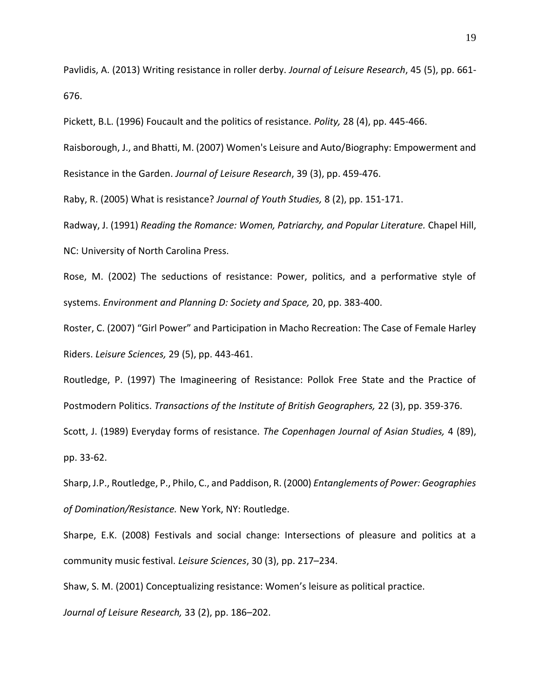Pavlidis, A. (2013) Writing resistance in roller derby. *Journal of Leisure Research*, 45 (5), pp. 661- 676.

Pickett, B.L. (1996) Foucault and the politics of resistance. *Polity,* 28 (4), pp. 445-466.

Raisborough, J., and Bhatti, M. (2007) Women's Leisure and Auto/Biography: Empowerment and Resistance in the Garden. *Journal of Leisure Research*, 39 (3), pp. 459-476.

Raby, R. (2005) What is resistance? *Journal of Youth Studies,* 8 (2), pp. 151-171.

Radway, J. (1991) *Reading the Romance: Women, Patriarchy, and Popular Literature.* Chapel Hill, NC: University of North Carolina Press.

Rose, M. (2002) The seductions of resistance: Power, politics, and a performative style of systems. *Environment and Planning D: Society and Space,* 20, pp. 383-400.

Roster, C. (2007) "Girl Power" and Participation in Macho Recreation: The Case of Female Harley Riders. *Leisure Sciences,* 29 (5), pp. 443-461.

Routledge, P. (1997) The Imagineering of Resistance: Pollok Free State and the Practice of Postmodern Politics. *Transactions of the Institute of British Geographers,* 22 (3), pp. 359-376.

Scott, J. (1989) Everyday forms of resistance. *The Copenhagen Journal of Asian Studies,* 4 (89), pp. 33-62.

Sharp, J.P., Routledge, P., Philo, C., and Paddison, R. (2000) *Entanglements of Power: Geographies of Domination/Resistance.* New York, NY: Routledge.

Sharpe, E.K. (2008) Festivals and social change: Intersections of pleasure and politics at a community music festival. *Leisure Sciences*, 30 (3), pp. 217–234.

Shaw, S. M. (2001) Conceptualizing resistance: Women's leisure as political practice.

*Journal of Leisure Research,* 33 (2), pp. 186–202.